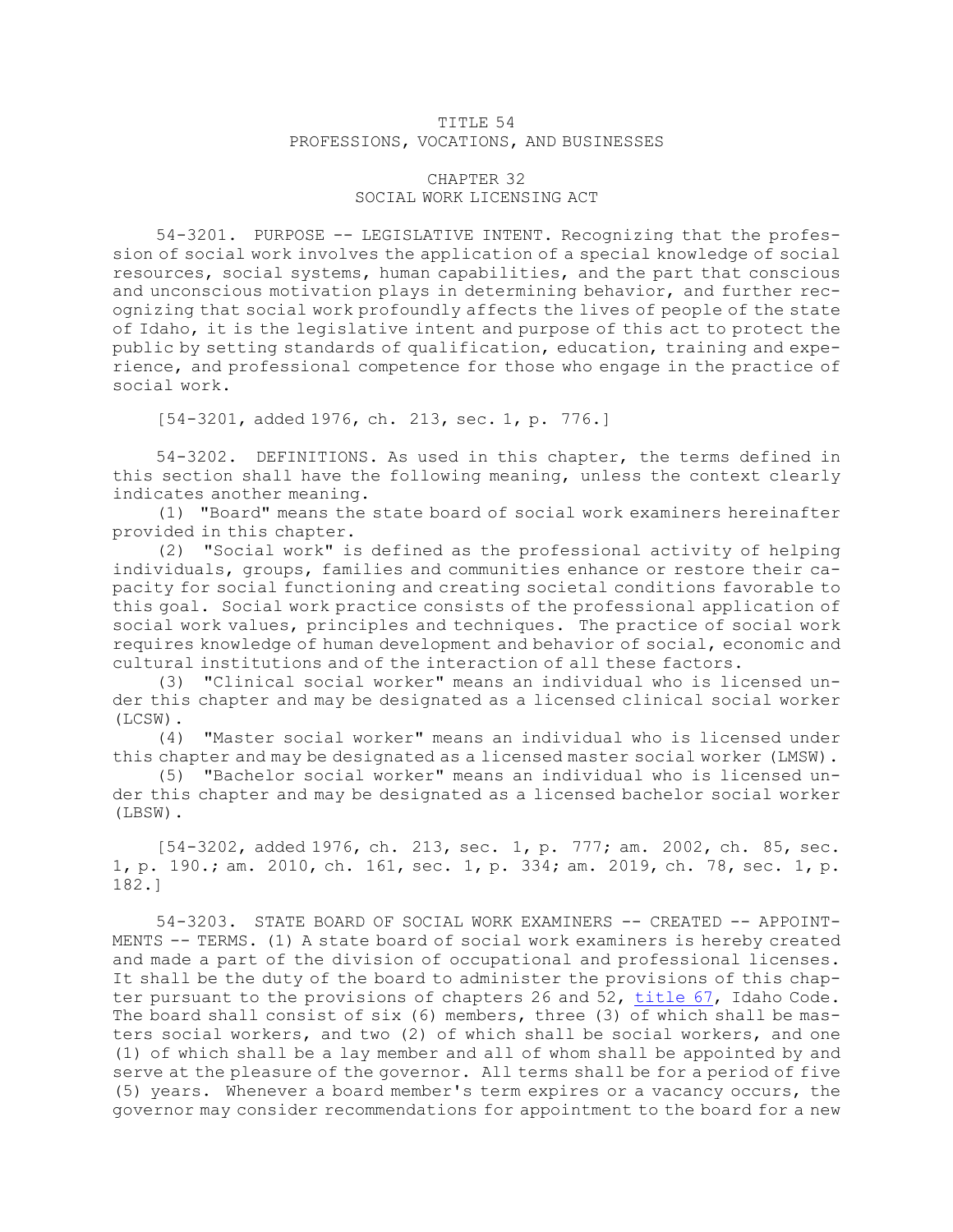## TITLE 54 PROFESSIONS, VOCATIONS, AND BUSINESSES

## CHAPTER 32 SOCIAL WORK LICENSING ACT

54-3201. PURPOSE -- LEGISLATIVE INTENT. Recognizing that the profession of social work involves the application of <sup>a</sup> special knowledge of social resources, social systems, human capabilities, and the part that conscious and unconscious motivation plays in determining behavior, and further recognizing that social work profoundly affects the lives of people of the state of Idaho, it is the legislative intent and purpose of this act to protect the public by setting standards of qualification, education, training and experience, and professional competence for those who engage in the practice of social work.

[54-3201, added 1976, ch. 213, sec. 1, p. 776.]

54-3202. DEFINITIONS. As used in this chapter, the terms defined in this section shall have the following meaning, unless the context clearly indicates another meaning.

(1) "Board" means the state board of social work examiners hereinafter provided in this chapter.

(2) "Social work" is defined as the professional activity of helping individuals, groups, families and communities enhance or restore their capacity for social functioning and creating societal conditions favorable to this goal. Social work practice consists of the professional application of social work values, principles and techniques. The practice of social work requires knowledge of human development and behavior of social, economic and cultural institutions and of the interaction of all these factors.

(3) "Clinical social worker" means an individual who is licensed under this chapter and may be designated as <sup>a</sup> licensed clinical social worker (LCSW).

(4) "Master social worker" means an individual who is licensed under this chapter and may be designated as <sup>a</sup> licensed master social worker (LMSW).

(5) "Bachelor social worker" means an individual who is licensed under this chapter and may be designated as <sup>a</sup> licensed bachelor social worker (LBSW).

[54-3202, added 1976, ch. 213, sec. 1, p. 777; am. 2002, ch. 85, sec. 1, p. 190.; am. 2010, ch. 161, sec. 1, p. 334; am. 2019, ch. 78, sec. 1, p. 182.]

54-3203. STATE BOARD OF SOCIAL WORK EXAMINERS -- CREATED -- APPOINT-MENTS -- TERMS. (1) <sup>A</sup> state board of social work examiners is hereby created and made <sup>a</sup> part of the division of occupational and professional licenses. It shall be the duty of the board to administer the provisions of this chapter pursuant to the provisions of chapters 26 and 52, [title](https://legislature.idaho.gov/statutesrules/idstat/Title67/) 67, Idaho Code. The board shall consist of six (6) members, three (3) of which shall be masters social workers, and two (2) of which shall be social workers, and one (1) of which shall be <sup>a</sup> lay member and all of whom shall be appointed by and serve at the pleasure of the governor. All terms shall be for <sup>a</sup> period of five (5) years. Whenever <sup>a</sup> board member's term expires or <sup>a</sup> vacancy occurs, the governor may consider recommendations for appointment to the board for <sup>a</sup> new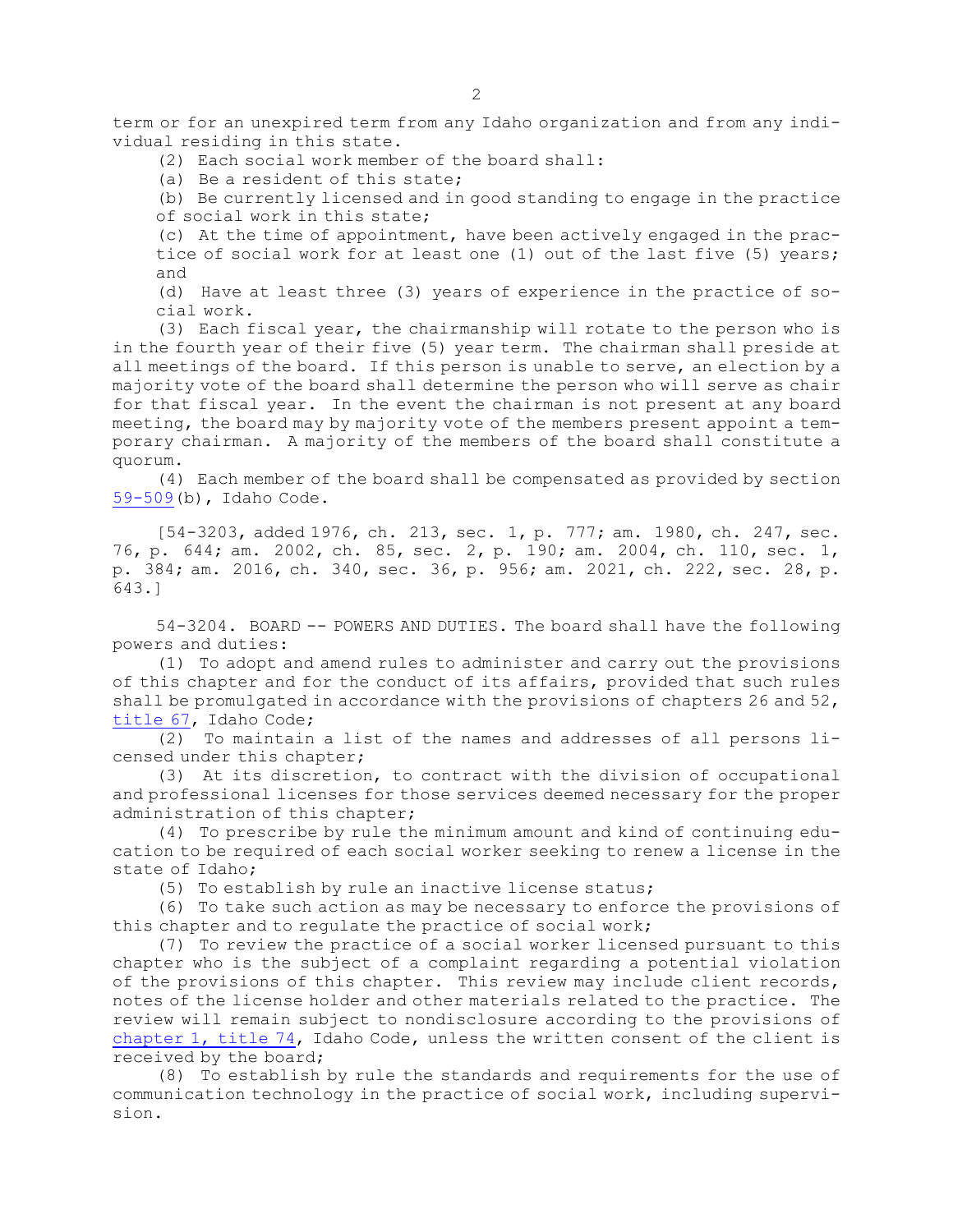term or for an unexpired term from any Idaho organization and from any individual residing in this state.

(2) Each social work member of the board shall:

(a) Be <sup>a</sup> resident of this state;

(b) Be currently licensed and in good standing to engage in the practice of social work in this state;

(c) At the time of appointment, have been actively engaged in the practice of social work for at least one (1) out of the last five (5) years; and

(d) Have at least three (3) years of experience in the practice of social work.

(3) Each fiscal year, the chairmanship will rotate to the person who is in the fourth year of their five (5) year term. The chairman shall preside at all meetings of the board. If this person is unable to serve, an election by <sup>a</sup> majority vote of the board shall determine the person who will serve as chair for that fiscal year. In the event the chairman is not present at any board meeting, the board may by majority vote of the members present appoint <sup>a</sup> temporary chairman. <sup>A</sup> majority of the members of the board shall constitute <sup>a</sup> quorum.

(4) Each member of the board shall be compensated as provided by section [59-509](https://legislature.idaho.gov/statutesrules/idstat/Title59/T59CH5/SECT59-509)(b), Idaho Code.

[54-3203, added 1976, ch. 213, sec. 1, p. 777; am. 1980, ch. 247, sec. 76, p. 644; am. 2002, ch. 85, sec. 2, p. 190; am. 2004, ch. 110, sec. 1, p. 384; am. 2016, ch. 340, sec. 36, p. 956; am. 2021, ch. 222, sec. 28, p. 643.]

54-3204. BOARD -- POWERS AND DUTIES. The board shall have the following powers and duties:

(1) To adopt and amend rules to administer and carry out the provisions of this chapter and for the conduct of its affairs, provided that such rules shall be promulgated in accordance with the provisions of chapters 26 and 52, [title](https://legislature.idaho.gov/statutesrules/idstat/Title67/) 67, Idaho Code;

(2) To maintain <sup>a</sup> list of the names and addresses of all persons licensed under this chapter;

(3) At its discretion, to contract with the division of occupational and professional licenses for those services deemed necessary for the proper administration of this chapter;

(4) To prescribe by rule the minimum amount and kind of continuing education to be required of each social worker seeking to renew <sup>a</sup> license in the state of Idaho;

(5) To establish by rule an inactive license status;

(6) To take such action as may be necessary to enforce the provisions of this chapter and to regulate the practice of social work;

(7) To review the practice of <sup>a</sup> social worker licensed pursuant to this chapter who is the subject of <sup>a</sup> complaint regarding <sup>a</sup> potential violation of the provisions of this chapter. This review may include client records, notes of the license holder and other materials related to the practice. The review will remain subject to nondisclosure according to the provisions of [chapter](https://legislature.idaho.gov/statutesrules/idstat/Title74/T74CH1) 1, title 74, Idaho Code, unless the written consent of the client is received by the board;

(8) To establish by rule the standards and requirements for the use of communication technology in the practice of social work, including supervision.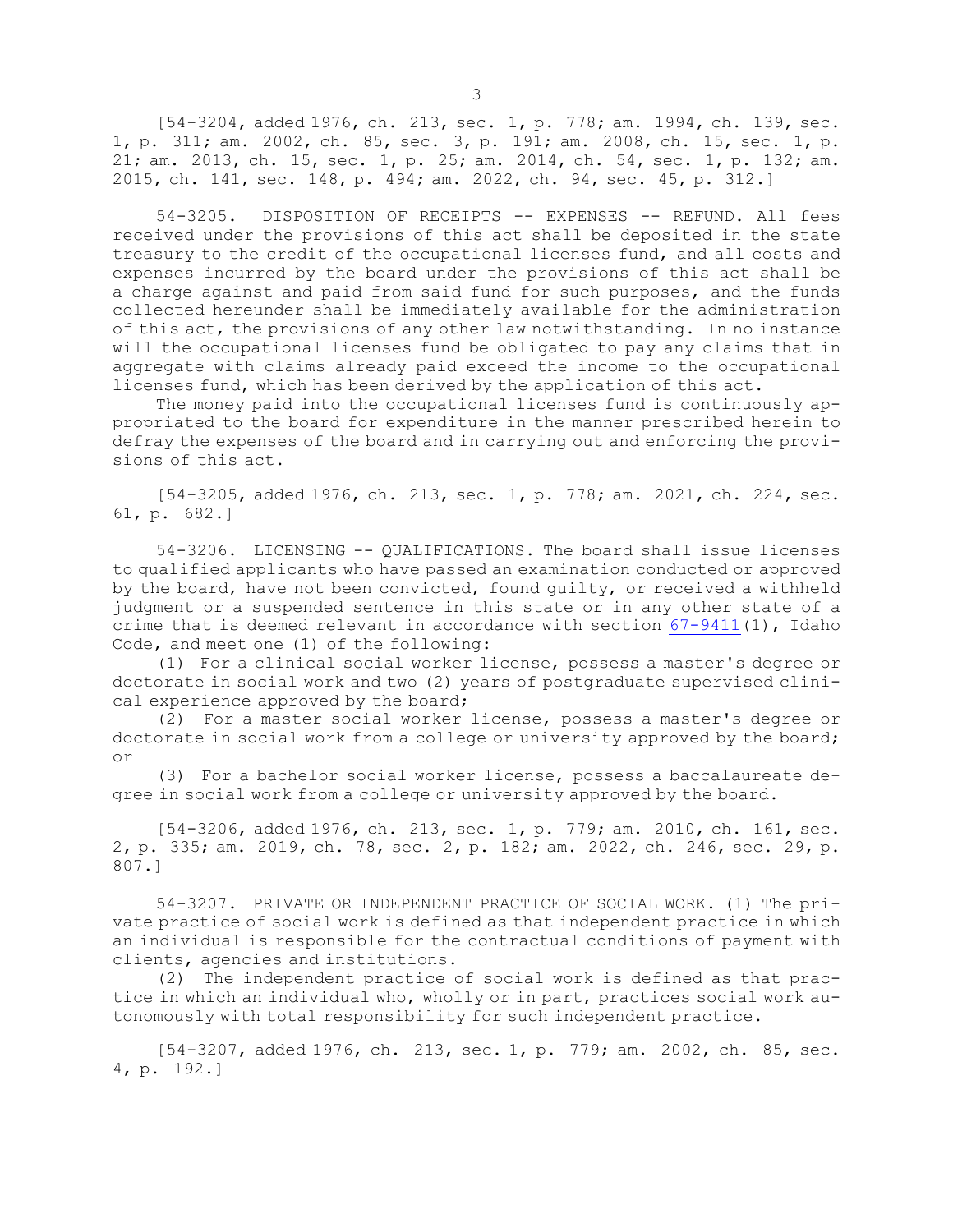[54-3204, added 1976, ch. 213, sec. 1, p. 778; am. 1994, ch. 139, sec. 1, p. 311; am. 2002, ch. 85, sec. 3, p. 191; am. 2008, ch. 15, sec. 1, p. 21; am. 2013, ch. 15, sec. 1, p. 25; am. 2014, ch. 54, sec. 1, p. 132; am. 2015, ch. 141, sec. 148, p. 494; am. 2022, ch. 94, sec. 45, p. 312.]

54-3205. DISPOSITION OF RECEIPTS -- EXPENSES -- REFUND. All fees received under the provisions of this act shall be deposited in the state treasury to the credit of the occupational licenses fund, and all costs and expenses incurred by the board under the provisions of this act shall be <sup>a</sup> charge against and paid from said fund for such purposes, and the funds collected hereunder shall be immediately available for the administration of this act, the provisions of any other law notwithstanding. In no instance will the occupational licenses fund be obligated to pay any claims that in aggregate with claims already paid exceed the income to the occupational licenses fund, which has been derived by the application of this act.

The money paid into the occupational licenses fund is continuously appropriated to the board for expenditure in the manner prescribed herein to defray the expenses of the board and in carrying out and enforcing the provisions of this act.

[54-3205, added 1976, ch. 213, sec. 1, p. 778; am. 2021, ch. 224, sec. 61, p. 682.]

54-3206. LICENSING -- QUALIFICATIONS. The board shall issue licenses to qualified applicants who have passed an examination conducted or approved by the board, have not been convicted, found guilty, or received <sup>a</sup> withheld judgment or <sup>a</sup> suspended sentence in this state or in any other state of <sup>a</sup> crime that is deemed relevant in accordance with section  $67-9411(1)$  $67-9411(1)$ , Idaho Code, and meet one (1) of the following:

(1) For <sup>a</sup> clinical social worker license, possess <sup>a</sup> master's degree or doctorate in social work and two (2) years of postgraduate supervised clinical experience approved by the board;

(2) For <sup>a</sup> master social worker license, possess <sup>a</sup> master's degree or doctorate in social work from <sup>a</sup> college or university approved by the board; or

(3) For <sup>a</sup> bachelor social worker license, possess <sup>a</sup> baccalaureate degree in social work from <sup>a</sup> college or university approved by the board.

[54-3206, added 1976, ch. 213, sec. 1, p. 779; am. 2010, ch. 161, sec. 2, p. 335; am. 2019, ch. 78, sec. 2, p. 182; am. 2022, ch. 246, sec. 29, p. 807.]

54-3207. PRIVATE OR INDEPENDENT PRACTICE OF SOCIAL WORK. (1) The private practice of social work is defined as that independent practice in which an individual is responsible for the contractual conditions of payment with clients, agencies and institutions.

(2) The independent practice of social work is defined as that practice in which an individual who, wholly or in part, practices social work autonomously with total responsibility for such independent practice.

[54-3207, added 1976, ch. 213, sec. 1, p. 779; am. 2002, ch. 85, sec. 4, p. 192.]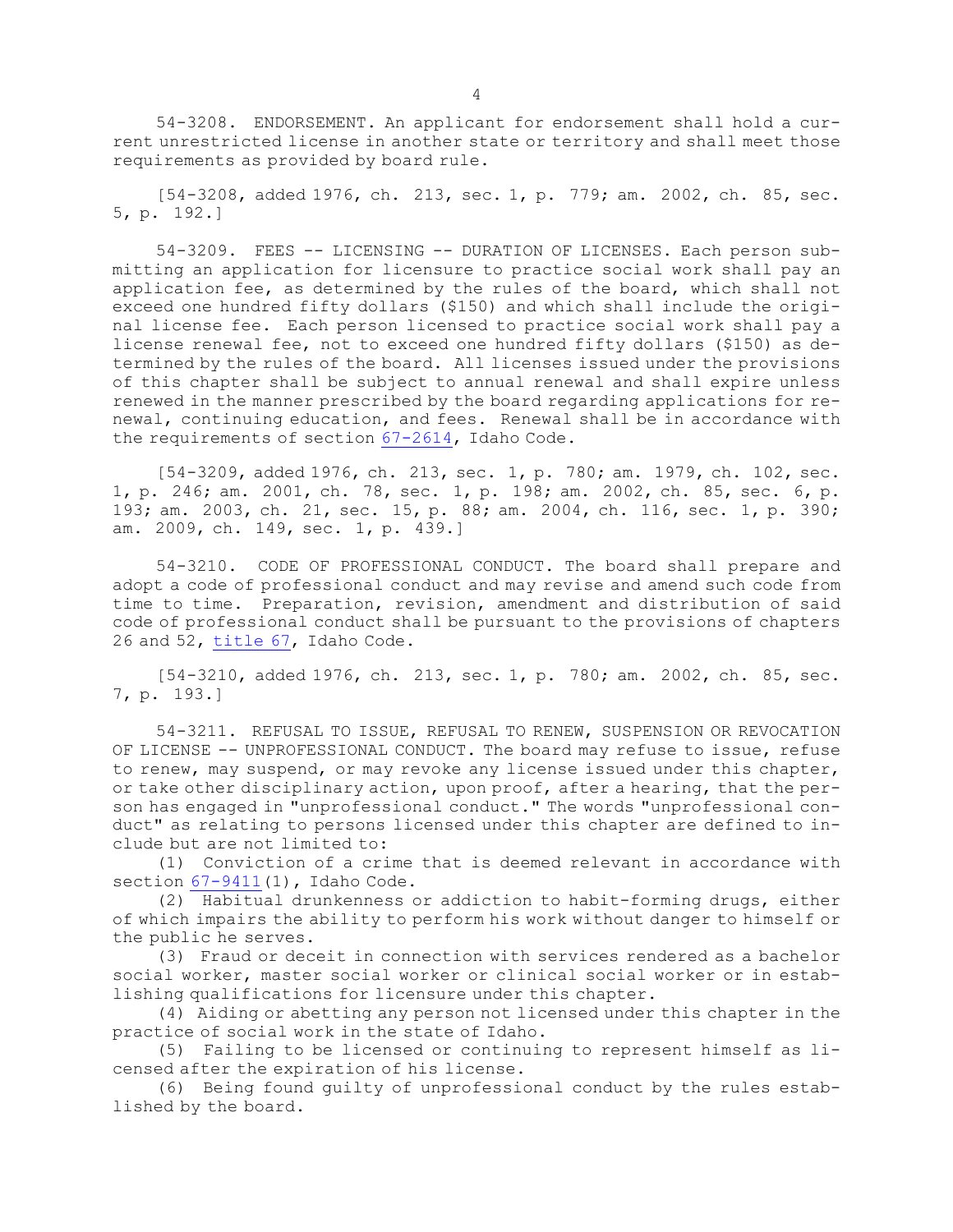54-3208. ENDORSEMENT. An applicant for endorsement shall hold <sup>a</sup> current unrestricted license in another state or territory and shall meet those requirements as provided by board rule.

[54-3208, added 1976, ch. 213, sec. 1, p. 779; am. 2002, ch. 85, sec. 5, p. 192.]

54-3209. FEES -- LICENSING -- DURATION OF LICENSES. Each person submitting an application for licensure to practice social work shall pay an application fee, as determined by the rules of the board, which shall not exceed one hundred fifty dollars (\$150) and which shall include the original license fee. Each person licensed to practice social work shall pay <sup>a</sup> license renewal fee, not to exceed one hundred fifty dollars (\$150) as determined by the rules of the board. All licenses issued under the provisions of this chapter shall be subject to annual renewal and shall expire unless renewed in the manner prescribed by the board regarding applications for renewal, continuing education, and fees. Renewal shall be in accordance with the requirements of section [67-2614](https://legislature.idaho.gov/statutesrules/idstat/Title67/T67CH26/SECT67-2614), Idaho Code.

[54-3209, added 1976, ch. 213, sec. 1, p. 780; am. 1979, ch. 102, sec. 1, p. 246; am. 2001, ch. 78, sec. 1, p. 198; am. 2002, ch. 85, sec. 6, p. 193; am. 2003, ch. 21, sec. 15, p. 88; am. 2004, ch. 116, sec. 1, p. 390; am. 2009, ch. 149, sec. 1, p. 439.]

54-3210. CODE OF PROFESSIONAL CONDUCT. The board shall prepare and adopt <sup>a</sup> code of professional conduct and may revise and amend such code from time to time. Preparation, revision, amendment and distribution of said code of professional conduct shall be pursuant to the provisions of chapters 26 and 52, [title](https://legislature.idaho.gov/statutesrules/idstat/Title67/) 67, Idaho Code.

[54-3210, added 1976, ch. 213, sec. 1, p. 780; am. 2002, ch. 85, sec. 7, p. 193.]

54-3211. REFUSAL TO ISSUE, REFUSAL TO RENEW, SUSPENSION OR REVOCATION OF LICENSE -- UNPROFESSIONAL CONDUCT. The board may refuse to issue, refuse to renew, may suspend, or may revoke any license issued under this chapter, or take other disciplinary action, upon proof, after <sup>a</sup> hearing, that the person has engaged in "unprofessional conduct." The words "unprofessional conduct" as relating to persons licensed under this chapter are defined to include but are not limited to:

(1) Conviction of <sup>a</sup> crime that is deemed relevant in accordance with section [67-9411](https://legislature.idaho.gov/statutesrules/idstat/Title67/T67CH94/SECT67-9411)(1), Idaho Code.

(2) Habitual drunkenness or addiction to habit-forming drugs, either of which impairs the ability to perform his work without danger to himself or the public he serves.

(3) Fraud or deceit in connection with services rendered as <sup>a</sup> bachelor social worker, master social worker or clinical social worker or in establishing qualifications for licensure under this chapter.

(4) Aiding or abetting any person not licensed under this chapter in the practice of social work in the state of Idaho.

(5) Failing to be licensed or continuing to represent himself as licensed after the expiration of his license.

(6) Being found guilty of unprofessional conduct by the rules established by the board.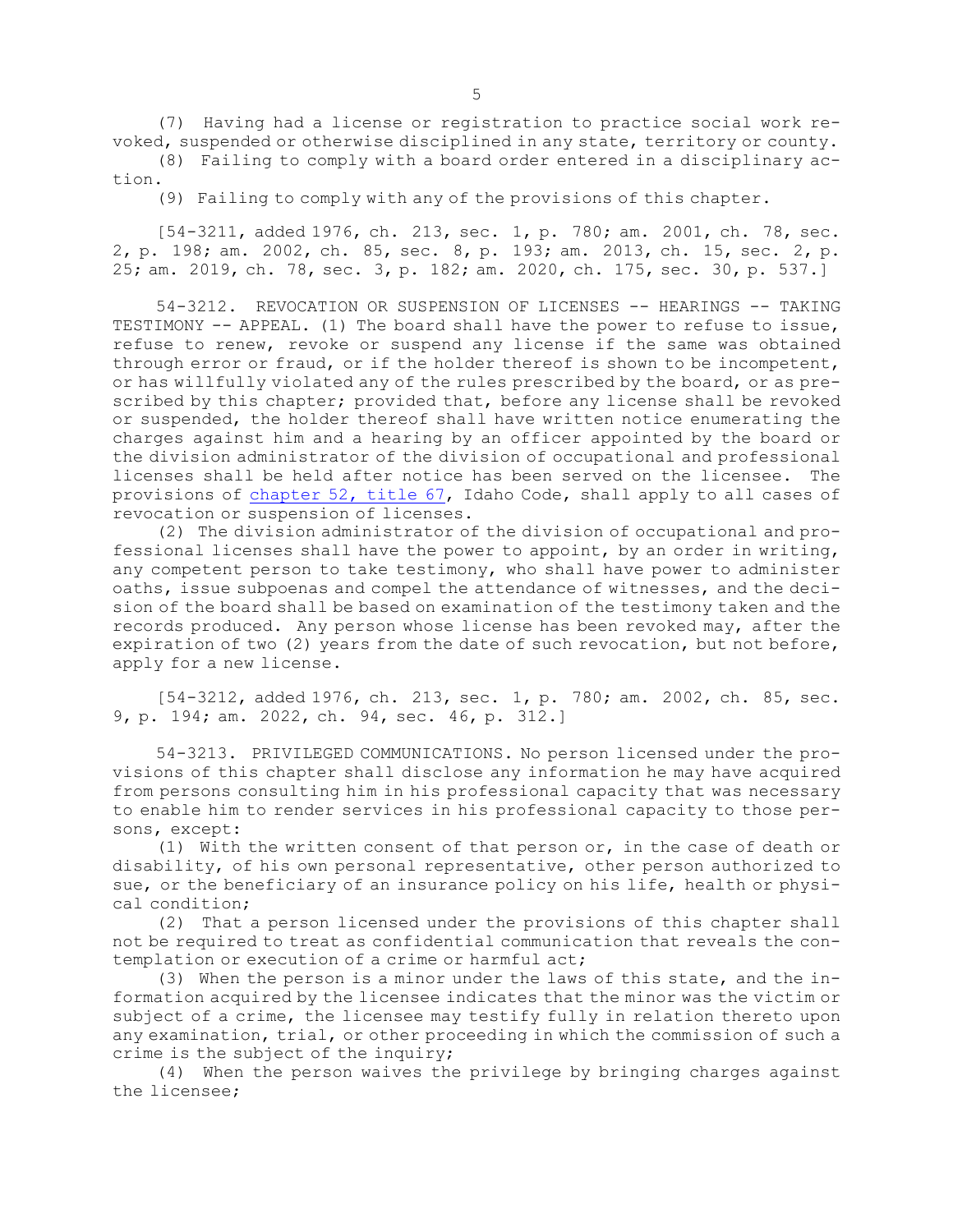(7) Having had <sup>a</sup> license or registration to practice social work revoked, suspended or otherwise disciplined in any state, territory or county.

(8) Failing to comply with <sup>a</sup> board order entered in <sup>a</sup> disciplinary action.

(9) Failing to comply with any of the provisions of this chapter.

[54-3211, added 1976, ch. 213, sec. 1, p. 780; am. 2001, ch. 78, sec. 2, p. 198; am. 2002, ch. 85, sec. 8, p. 193; am. 2013, ch. 15, sec. 2, p. 25; am. 2019, ch. 78, sec. 3, p. 182; am. 2020, ch. 175, sec. 30, p. 537.]

54-3212. REVOCATION OR SUSPENSION OF LICENSES -- HEARINGS -- TAKING TESTIMONY -- APPEAL. (1) The board shall have the power to refuse to issue, refuse to renew, revoke or suspend any license if the same was obtained through error or fraud, or if the holder thereof is shown to be incompetent, or has willfully violated any of the rules prescribed by the board, or as prescribed by this chapter; provided that, before any license shall be revoked or suspended, the holder thereof shall have written notice enumerating the charges against him and <sup>a</sup> hearing by an officer appointed by the board or the division administrator of the division of occupational and professional licenses shall be held after notice has been served on the licensee. The provisions of [chapter](https://legislature.idaho.gov/statutesrules/idstat/Title67/T67CH52) 52, title 67, Idaho Code, shall apply to all cases of revocation or suspension of licenses.

(2) The division administrator of the division of occupational and professional licenses shall have the power to appoint, by an order in writing, any competent person to take testimony, who shall have power to administer oaths, issue subpoenas and compel the attendance of witnesses, and the decision of the board shall be based on examination of the testimony taken and the records produced. Any person whose license has been revoked may, after the expiration of two (2) years from the date of such revocation, but not before, apply for <sup>a</sup> new license.

[54-3212, added 1976, ch. 213, sec. 1, p. 780; am. 2002, ch. 85, sec. 9, p. 194; am. 2022, ch. 94, sec. 46, p. 312.]

54-3213. PRIVILEGED COMMUNICATIONS. No person licensed under the provisions of this chapter shall disclose any information he may have acquired from persons consulting him in his professional capacity that was necessary to enable him to render services in his professional capacity to those persons, except:

(1) With the written consent of that person or, in the case of death or disability, of his own personal representative, other person authorized to sue, or the beneficiary of an insurance policy on his life, health or physical condition;

(2) That <sup>a</sup> person licensed under the provisions of this chapter shall not be required to treat as confidential communication that reveals the contemplation or execution of <sup>a</sup> crime or harmful act;

(3) When the person is <sup>a</sup> minor under the laws of this state, and the information acquired by the licensee indicates that the minor was the victim or subject of <sup>a</sup> crime, the licensee may testify fully in relation thereto upon any examination, trial, or other proceeding in which the commission of such <sup>a</sup> crime is the subject of the inquiry;

(4) When the person waives the privilege by bringing charges against the licensee;